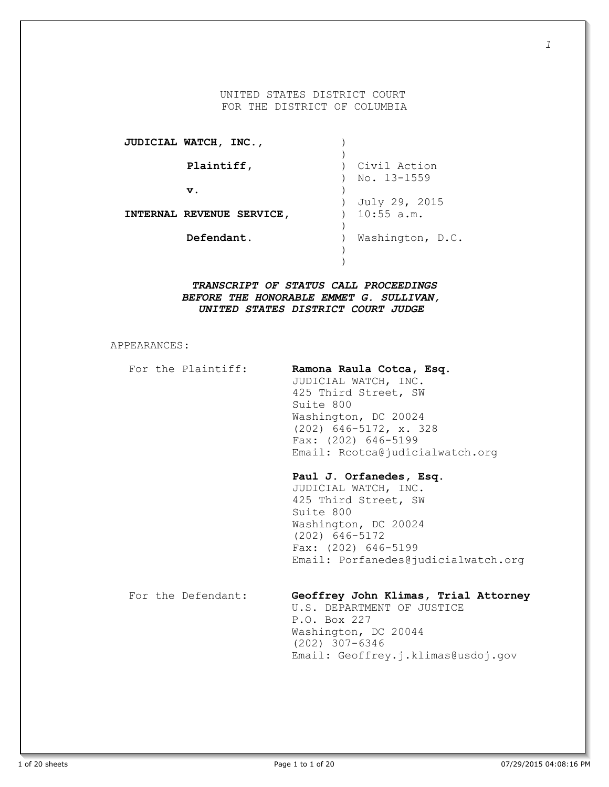### UNITED STATES DISTRICT COURT FOR THE DISTRICT OF COLUMBIA

| JUDICIAL WATCH, INC.,     |                  |
|---------------------------|------------------|
|                           |                  |
| Plaintiff,                | Civil Action     |
|                           | No. 13-1559      |
| $\mathbf v$ .             |                  |
|                           | July 29, 2015    |
| INTERNAL REVENUE SERVICE, | $10:55$ a.m.     |
|                           |                  |
| Defendant.                | Washington, D.C. |
|                           |                  |
|                           |                  |

*TRANSCRIPT OF STATUS CALL PROCEEDINGS BEFORE THE HONORABLE EMMET G. SULLIVAN, UNITED STATES DISTRICT COURT JUDGE*

APPEARANCES:

| For the Plaintiff: | Ramona Raula Cotca, Esq.<br>JUDICIAL WATCH, INC.<br>425 Third Street, SW<br>Suite 800<br>Washington, DC 20024<br>$(202)$ 646-5172, x. 328<br>Fax: $(202)$ 646-5199<br>Email: Rcotca@judicialwatch.org |
|--------------------|-------------------------------------------------------------------------------------------------------------------------------------------------------------------------------------------------------|
|                    | Paul J. Orfanedes, Esq.<br>JUDICIAL WATCH, INC.<br>425 Third Street, SW<br>Suite 800<br>Washington, DC 20024<br>$(202)$ 646-5172<br>Fax: $(202)$ 646-5199<br>Email: Porfanedes@judicialwatch.org      |
| For the Defendant: | Geoffrey John Klimas, Trial Attorney<br>U.S. DEPARTMENT OF JUSTICE<br>P.O. Box 227<br>Washington, DC 20044<br>$(202)$ 307-6346<br>Email: Geoffrey.j.klimas@usdoj.gov                                  |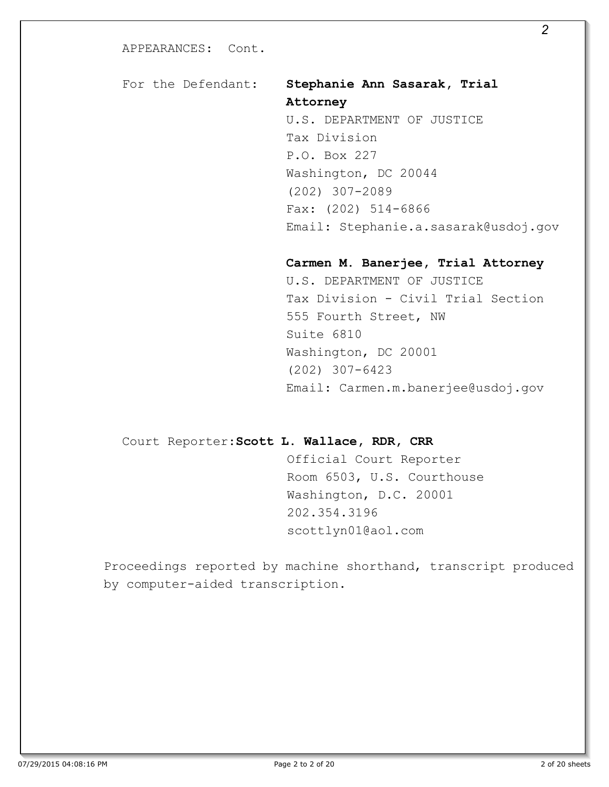# For the Defendant: **Stephanie Ann Sasarak, Trial Attorney**

U.S. DEPARTMENT OF JUSTICE Tax Division P.O. Box 227 Washington, DC 20044 (202) 307-2089 Fax: (202) 514-6866 Email: Stephanie.a.sasarak@usdoj.gov

**Carmen M. Banerjee, Trial Attorney**  U.S. DEPARTMENT OF JUSTICE Tax Division - Civil Trial Section 555 Fourth Street, NW Suite 6810 Washington, DC 20001 (202) 307-6423 Email: Carmen.m.banerjee@usdoj.gov

# Court Reporter:**Scott L. Wallace, RDR, CRR**

Official Court Reporter Room 6503, U.S. Courthouse Washington, D.C. 20001 202.354.3196 scottlyn01@aol.com

Proceedings reported by machine shorthand, transcript produced by computer-aided transcription.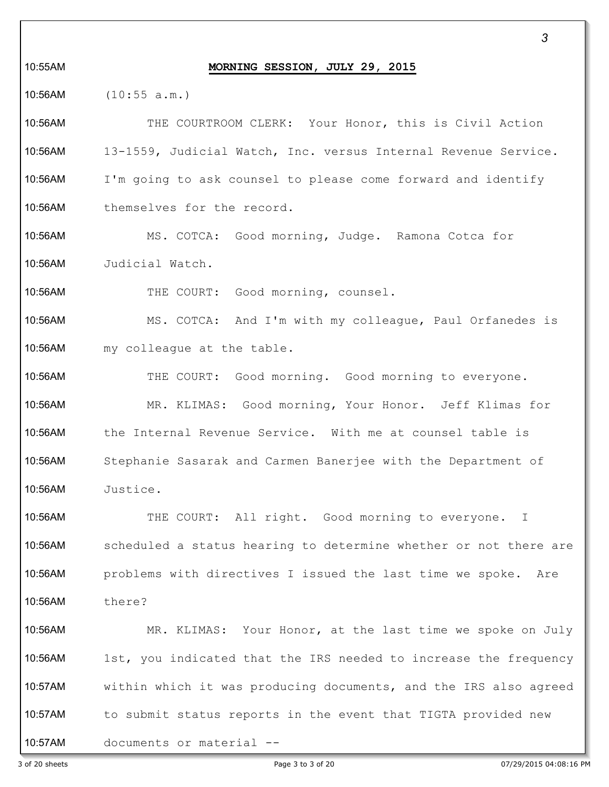#### 10:55AM **MORNING SESSION, JULY 29, 2015**

10:56AM (10:55 a.m.)

10:56AM THE COURTROOM CLERK: Your Honor, this is Civil Action 10:56AM 13-1559, Judicial Watch, Inc. versus Internal Revenue Service. 10:56AM I'm going to ask counsel to please come forward and identify 10:56AM themselves for the record.

10:56AM MS. COTCA: Good morning, Judge. Ramona Cotca for 10:56AM Judicial Watch.

10:56AM THE COURT: Good morning, counsel.

10:56AM MS. COTCA: And I'm with my colleague, Paul Orfanedes is 10:56AM my colleague at the table.

10:56AM THE COURT: Good morning. Good morning to everyone. 10:56AM MR. KLIMAS: Good morning, Your Honor. Jeff Klimas for 10:56AM the Internal Revenue Service. With me at counsel table is 10:56AM Stephanie Sasarak and Carmen Banerjee with the Department of 10:56AM Justice.

10:56AM THE COURT: All right. Good morning to everyone. I 10:56AM scheduled a status hearing to determine whether or not there are 10:56AM problems with directives I issued the last time we spoke. Are 10:56AM there?

10:56AM MR. KLIMAS: Your Honor, at the last time we spoke on July 10:56AM 1st, you indicated that the IRS needed to increase the frequency 10:57AM within which it was producing documents, and the IRS also agreed 10:57AM to submit status reports in the event that TIGTA provided new 10:57AM documents or material --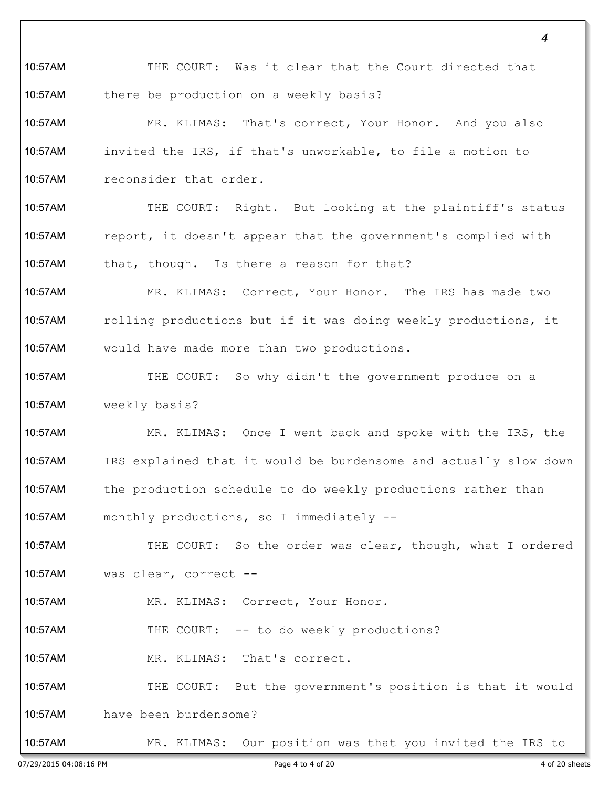*4* 10:57AM THE COURT: Was it clear that the Court directed that 10:57AM there be production on a weekly basis? 10:57AM MR. KLIMAS: That's correct, Your Honor. And you also 10:57AM invited the IRS, if that's unworkable, to file a motion to 10:57AM reconsider that order. 10:57AM THE COURT: Right. But looking at the plaintiff's status 10:57AM report, it doesn't appear that the government's complied with 10:57AM that, though. Is there a reason for that? 10:57AM MR. KLIMAS: Correct, Your Honor. The IRS has made two 10:57AM rolling productions but if it was doing weekly productions, it 10:57AM would have made more than two productions. 10:57AM THE COURT: So why didn't the government produce on a 10:57AM weekly basis? 10:57AM MR. KLIMAS: Once I went back and spoke with the IRS, the 10:57AM IRS explained that it would be burdensome and actually slow down 10:57AM the production schedule to do weekly productions rather than 10:57AM monthly productions, so I immediately -- 10:57AM THE COURT: So the order was clear, though, what I ordered 10:57AM was clear, correct -- 10:57AM MR. KLIMAS: Correct, Your Honor. 10:57AM THE COURT: -- to do weekly productions? 10:57AM MR. KLIMAS: That's correct. 10:57AM THE COURT: But the government's position is that it would 10:57AM have been burdensome? 10:57AM MR. KLIMAS: Our position was that you invited the IRS to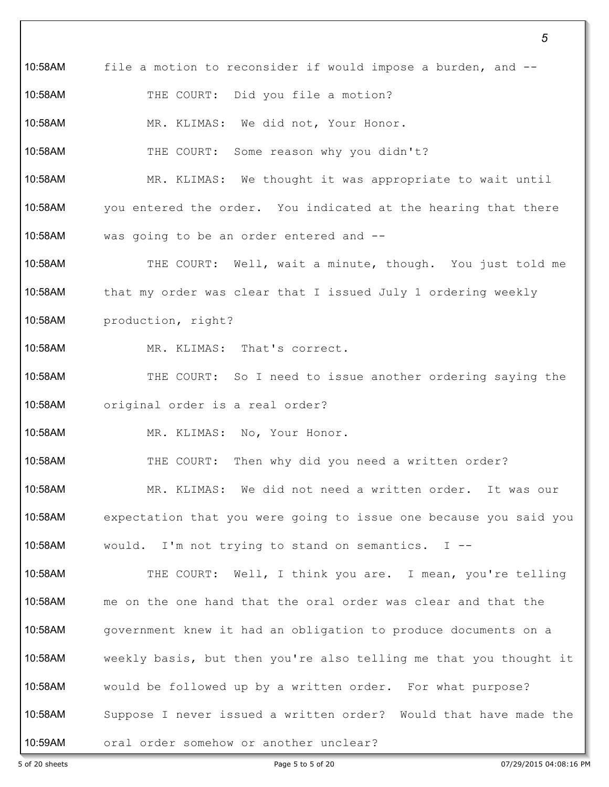10:58AM file a motion to reconsider if would impose a burden, and -- 10:58AM THE COURT: Did you file a motion? 10:58AM MR. KLIMAS: We did not, Your Honor. 10:58AM THE COURT: Some reason why you didn't? 10:58AM MR. KLIMAS: We thought it was appropriate to wait until 10:58AM you entered the order. You indicated at the hearing that there 10:58AM was going to be an order entered and -- 10:58AM THE COURT: Well, wait a minute, though. You just told me 10:58AM that my order was clear that I issued July 1 ordering weekly 10:58AM production, right? 10:58AM MR. KLIMAS: That's correct. 10:58AM THE COURT: So I need to issue another ordering saying the 10:58AM original order is a real order? 10:58AM MR. KLIMAS: No, Your Honor. 10:58AM THE COURT: Then why did you need a written order? 10:58AM MR. KLIMAS: We did not need a written order. It was our 10:58AM expectation that you were going to issue one because you said you 10:58AM would. I'm not trying to stand on semantics. I -- 10:58AM THE COURT: Well, I think you are. I mean, you're telling 10:58AM me on the one hand that the oral order was clear and that the 10:58AM government knew it had an obligation to produce documents on a 10:58AM weekly basis, but then you're also telling me that you thought it 10:58AM would be followed up by a written order. For what purpose? 10:58AM Suppose I never issued a written order? Would that have made the 10:59AM oral order somehow or another unclear?

5 of 20 sheets Page 5 to 5 of 20 07/29/2015 04:08:16 PM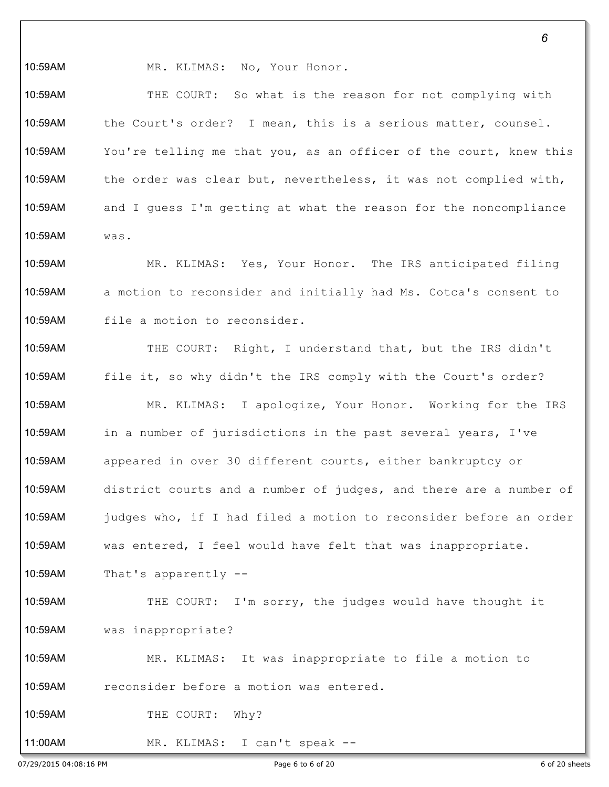10:59AM MR. KLIMAS: No, Your Honor.

10:59AM THE COURT: So what is the reason for not complying with 10:59AM the Court's order? I mean, this is a serious matter, counsel. 10:59AM You're telling me that you, as an officer of the court, knew this 10:59AM the order was clear but, nevertheless, it was not complied with, 10:59AM and I guess I'm getting at what the reason for the noncompliance 10:59AM was.

10:59AM MR. KLIMAS: Yes, Your Honor. The IRS anticipated filing 10:59AM a motion to reconsider and initially had Ms. Cotca's consent to 10:59AM file a motion to reconsider.

10:59AM THE COURT: Right, I understand that, but the IRS didn't 10:59AM file it, so why didn't the IRS comply with the Court's order? 10:59AM MR. KLIMAS: I apologize, Your Honor. Working for the IRS 10:59AM in a number of jurisdictions in the past several years, I've 10:59AM appeared in over 30 different courts, either bankruptcy or 10:59AM district courts and a number of judges, and there are a number of 10:59AM judges who, if I had filed a motion to reconsider before an order 10:59AM was entered, I feel would have felt that was inappropriate. 10:59AM That's apparently -- 10:59AM THE COURT: I'm sorry, the judges would have thought it 10:59AM was inappropriate? 10:59AM MR. KLIMAS: It was inappropriate to file a motion to 10:59AM reconsider before a motion was entered. 10:59AM THE COURT: Why? 11:00AM MR. KLIMAS: I can't speak --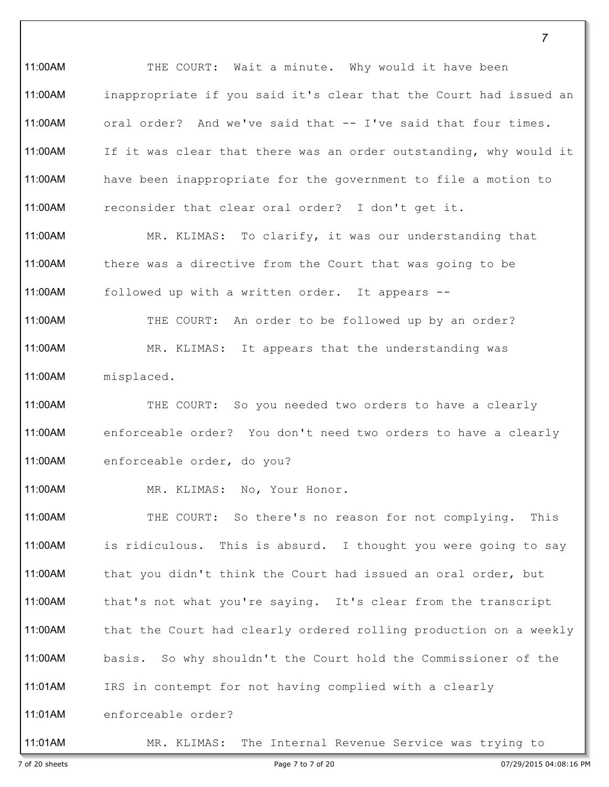11:00AM THE COURT: Wait a minute. Why would it have been 11:00AM inappropriate if you said it's clear that the Court had issued an 11:00AM oral order? And we've said that -- I've said that four times. 11:00AM If it was clear that there was an order outstanding, why would it 11:00AM have been inappropriate for the government to file a motion to 11:00AM reconsider that clear oral order? I don't get it. 11:00AM MR. KLIMAS: To clarify, it was our understanding that 11:00AM there was a directive from the Court that was going to be

11:00AM followed up with a written order. It appears --

11:00AM THE COURT: An order to be followed up by an order? 11:00AM MR. KLIMAS: It appears that the understanding was 11:00AM misplaced.

11:00AM THE COURT: So you needed two orders to have a clearly 11:00AM enforceable order? You don't need two orders to have a clearly 11:00AM enforceable order, do you?

11:00AM MR. KLIMAS: No, Your Honor.

11:00AM THE COURT: So there's no reason for not complying. This 11:00AM is ridiculous. This is absurd. I thought you were going to say 11:00AM that you didn't think the Court had issued an oral order, but 11:00AM that's not what you're saying. It's clear from the transcript 11:00AM that the Court had clearly ordered rolling production on a weekly 11:00AM basis. So why shouldn't the Court hold the Commissioner of the 11:01AM IRS in contempt for not having complied with a clearly 11:01AM enforceable order?

11:01AM MR. KLIMAS: The Internal Revenue Service was trying to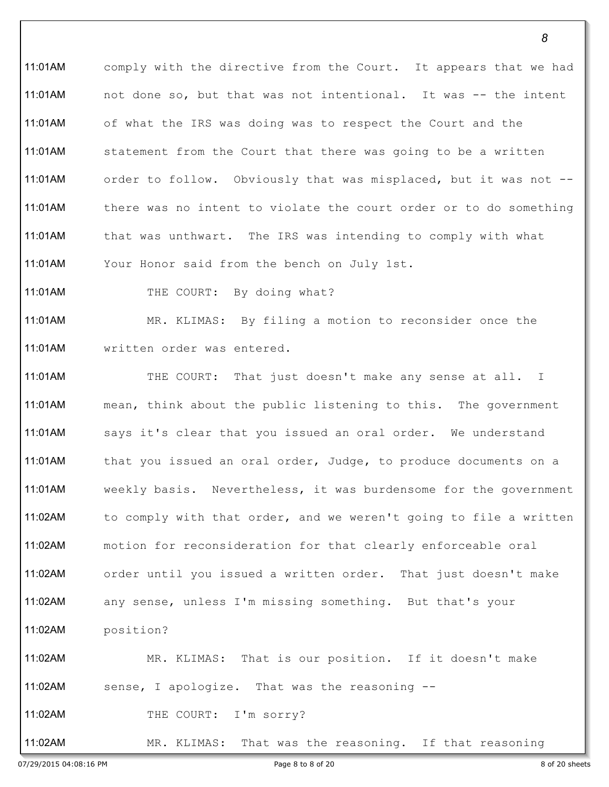11:01AM comply with the directive from the Court. It appears that we had 11:01AM not done so, but that was not intentional. It was -- the intent 11:01AM of what the IRS was doing was to respect the Court and the 11:01AM statement from the Court that there was going to be a written 11:01AM order to follow. Obviously that was misplaced, but it was not -- 11:01AM there was no intent to violate the court order or to do something 11:01AM that was unthwart. The IRS was intending to comply with what 11:01AM Your Honor said from the bench on July 1st.

11:01AM THE COURT: By doing what?

11:01AM MR. KLIMAS: By filing a motion to reconsider once the 11:01AM written order was entered.

11:01AM THE COURT: That just doesn't make any sense at all. I 11:01AM mean, think about the public listening to this. The government 11:01AM says it's clear that you issued an oral order. We understand 11:01AM that you issued an oral order, Judge, to produce documents on a 11:01AM weekly basis. Nevertheless, it was burdensome for the government 11:02AM to comply with that order, and we weren't going to file a written 11:02AM motion for reconsideration for that clearly enforceable oral 11:02AM order until you issued a written order. That just doesn't make 11:02AM any sense, unless I'm missing something. But that's your 11:02AM position? 11:02AM MR. KLIMAS: That is our position. If it doesn't make 11:02AM sense, I apologize. That was the reasoning -- 11:02AM THE COURT: I'm sorry? 11:02AM MR. KLIMAS: That was the reasoning. If that reasoning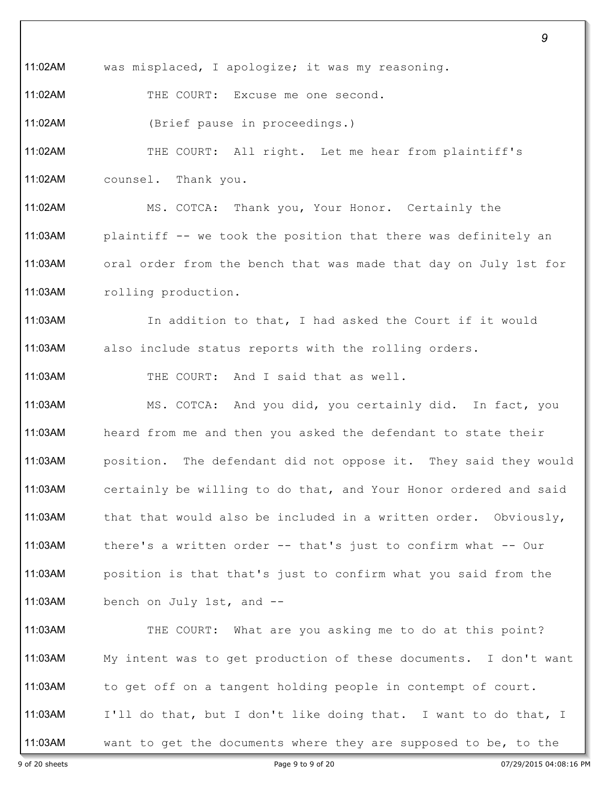9 of 20 sheets Page 9 to 9 of 20 07/29/2015 04:08:16 PM 11:02AM was misplaced, I apologize; it was my reasoning. 11:02AM THE COURT: Excuse me one second. 11:02AM (Brief pause in proceedings.) 11:02AM THE COURT: All right. Let me hear from plaintiff's 11:02AM counsel. Thank you. 11:02AM MS. COTCA: Thank you, Your Honor. Certainly the 11:03AM plaintiff -- we took the position that there was definitely an 11:03AM oral order from the bench that was made that day on July 1st for 11:03AM rolling production. 11:03AM In addition to that, I had asked the Court if it would 11:03AM also include status reports with the rolling orders. 11:03AM THE COURT: And I said that as well. 11:03AM MS. COTCA: And you did, you certainly did. In fact, you 11:03AM heard from me and then you asked the defendant to state their 11:03AM position. The defendant did not oppose it. They said they would 11:03AM certainly be willing to do that, and Your Honor ordered and said 11:03AM that that would also be included in a written order. Obviously, 11:03AM there's a written order -- that's just to confirm what -- Our 11:03AM position is that that's just to confirm what you said from the 11:03AM bench on July 1st, and -- 11:03AM THE COURT: What are you asking me to do at this point? 11:03AM My intent was to get production of these documents. I don't want 11:03AM to get off on a tangent holding people in contempt of court. 11:03AM I'll do that, but I don't like doing that. I want to do that, I 11:03AM want to get the documents where they are supposed to be, to the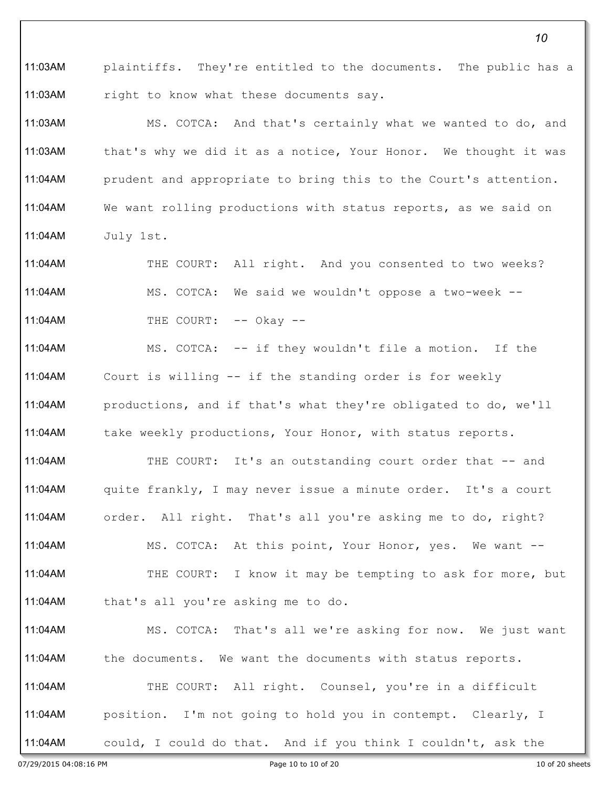11:03AM plaintiffs. They're entitled to the documents. The public has a 11:03AM right to know what these documents say.

11:03AM MS. COTCA: And that's certainly what we wanted to do, and 11:03AM that's why we did it as a notice, Your Honor. We thought it was 11:04AM prudent and appropriate to bring this to the Court's attention. 11:04AM We want rolling productions with status reports, as we said on 11:04AM July 1st.

11:04AM THE COURT: All right. And you consented to two weeks? 11:04AM MS. COTCA: We said we wouldn't oppose a two-week -- 11:04AM THE COURT: -- Okay --

11:04AM MS. COTCA: -- if they wouldn't file a motion. If the 11:04AM Court is willing -- if the standing order is for weekly 11:04AM productions, and if that's what they're obligated to do, we'll 11:04AM take weekly productions, Your Honor, with status reports.

11:04AM THE COURT: It's an outstanding court order that -- and 11:04AM quite frankly, I may never issue a minute order. It's a court 11:04AM order. All right. That's all you're asking me to do, right? 11:04AM MS. COTCA: At this point, Your Honor, yes. We want --11:04AM THE COURT: I know it may be tempting to ask for more, but 11:04AM that's all you're asking me to do.

11:04AM MS. COTCA: That's all we're asking for now. We just want 11:04AM the documents. We want the documents with status reports. 11:04AM THE COURT: All right. Counsel, you're in a difficult 11:04AM position. I'm not going to hold you in contempt. Clearly, I 11:04AM could, I could do that. And if you think I couldn't, ask the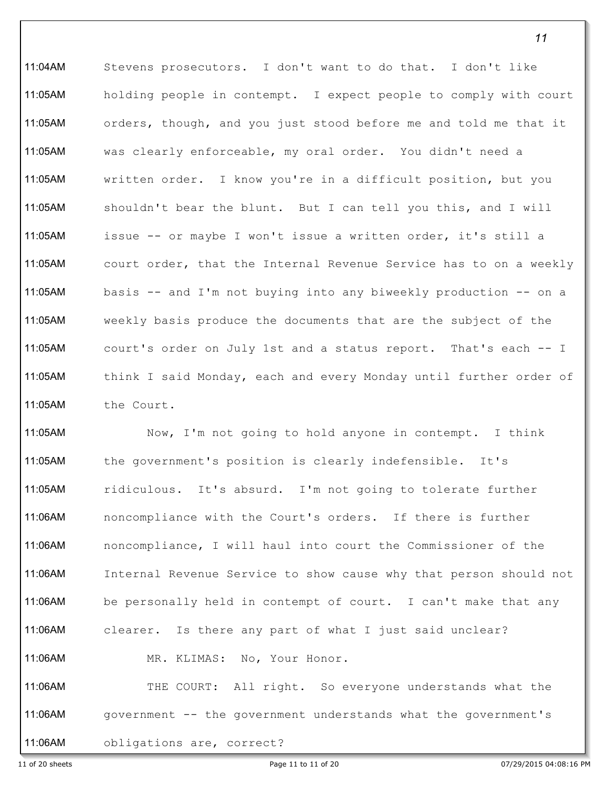11:04AM Stevens prosecutors. I don't want to do that. I don't like 11:05AM holding people in contempt. I expect people to comply with court 11:05AM orders, though, and you just stood before me and told me that it 11:05AM was clearly enforceable, my oral order. You didn't need a 11:05AM written order. I know you're in a difficult position, but you 11:05AM shouldn't bear the blunt. But I can tell you this, and I will 11:05AM issue -- or maybe I won't issue a written order, it's still a 11:05AM court order, that the Internal Revenue Service has to on a weekly 11:05AM basis -- and I'm not buying into any biweekly production -- on a 11:05AM weekly basis produce the documents that are the subject of the 11:05AM court's order on July 1st and a status report. That's each -- I 11:05AM think I said Monday, each and every Monday until further order of 11:05AM the Court.

11:05AM Now, I'm not going to hold anyone in contempt. I think 11:05AM the government's position is clearly indefensible. It's 11:05AM ridiculous. It's absurd. I'm not going to tolerate further 11:06AM noncompliance with the Court's orders. If there is further 11:06AM noncompliance, I will haul into court the Commissioner of the 11:06AM Internal Revenue Service to show cause why that person should not 11:06AM be personally held in contempt of court. I can't make that any 11:06AM clearer. Is there any part of what I just said unclear? 11:06AM MR. KLIMAS: No, Your Honor. 11:06AM THE COURT: All right. So everyone understands what the 11:06AM government -- the government understands what the government's

11:06AM obligations are, correct?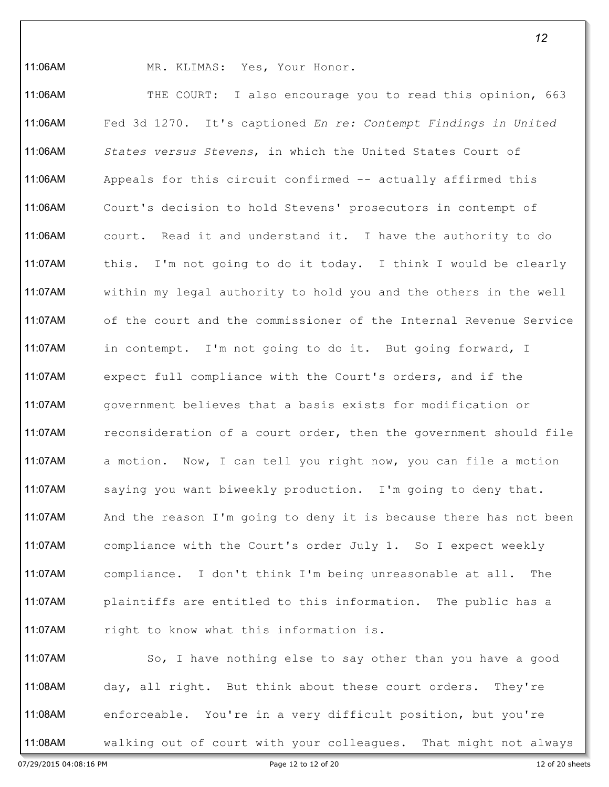11:06AM MR. KLIMAS: Yes, Your Honor.

11:06AM THE COURT: I also encourage you to read this opinion, 663 11:06AM Fed 3d 1270. It's captioned *En re: Contempt Findings in United*  11:06AM *States versus Stevens*, in which the United States Court of 11:06AM Appeals for this circuit confirmed -- actually affirmed this 11:06AM Court's decision to hold Stevens' prosecutors in contempt of 11:06AM court. Read it and understand it. I have the authority to do 11:07AM this. I'm not going to do it today. I think I would be clearly 11:07AM within my legal authority to hold you and the others in the well 11:07AM of the court and the commissioner of the Internal Revenue Service 11:07AM in contempt. I'm not going to do it. But going forward, I 11:07AM expect full compliance with the Court's orders, and if the 11:07AM government believes that a basis exists for modification or 11:07AM reconsideration of a court order, then the government should file 11:07AM a motion. Now, I can tell you right now, you can file a motion 11:07AM saying you want biweekly production. I'm going to deny that. 11:07AM And the reason I'm going to deny it is because there has not been 11:07AM compliance with the Court's order July 1. So I expect weekly 11:07AM compliance. I don't think I'm being unreasonable at all. The 11:07AM plaintiffs are entitled to this information. The public has a 11:07AM right to know what this information is.

11:07AM So, I have nothing else to say other than you have a good 11:08AM day, all right. But think about these court orders. They're 11:08AM enforceable. You're in a very difficult position, but you're 11:08AM walking out of court with your colleagues. That might not always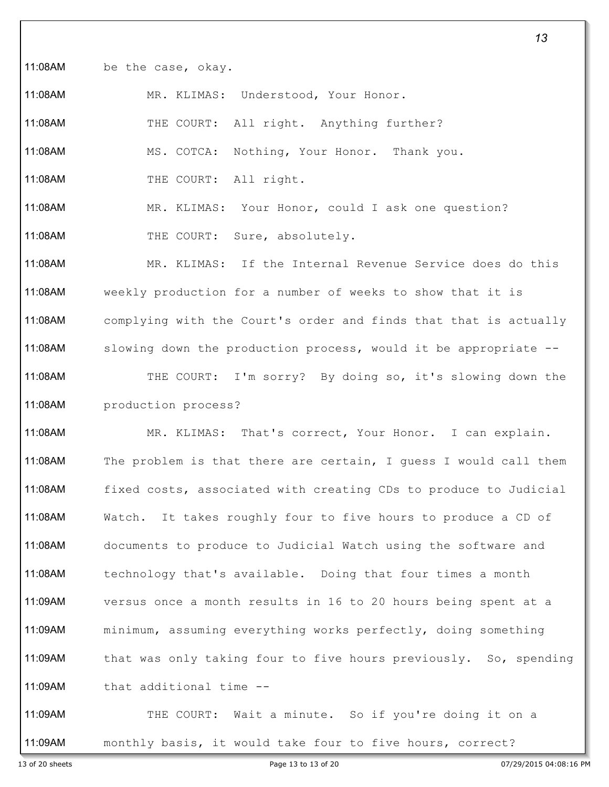11:08AM be the case, okay.

11:08AM MR. KLIMAS: Understood, Your Honor.

11:08AM THE COURT: All right. Anything further?

11:08AM MS. COTCA: Nothing, Your Honor. Thank you.

11:08AM THE COURT: All right.

11:08AM MR. KLIMAS: Your Honor, could I ask one question?

11:08AM THE COURT: Sure, absolutely.

11:08AM MR. KLIMAS: If the Internal Revenue Service does do this 11:08AM weekly production for a number of weeks to show that it is 11:08AM complying with the Court's order and finds that that is actually 11:08AM slowing down the production process, would it be appropriate -- 11:08AM THE COURT: I'm sorry? By doing so, it's slowing down the 11:08AM production process?

11:08AM MR. KLIMAS: That's correct, Your Honor. I can explain. 11:08AM The problem is that there are certain, I guess I would call them 11:08AM fixed costs, associated with creating CDs to produce to Judicial 11:08AM Watch. It takes roughly four to five hours to produce a CD of 11:08AM documents to produce to Judicial Watch using the software and 11:08AM technology that's available. Doing that four times a month 11:09AM versus once a month results in 16 to 20 hours being spent at a 11:09AM minimum, assuming everything works perfectly, doing something 11:09AM that was only taking four to five hours previously. So, spending 11:09AM that additional time --

11:09AM THE COURT: Wait a minute. So if you're doing it on a 11:09AM monthly basis, it would take four to five hours, correct?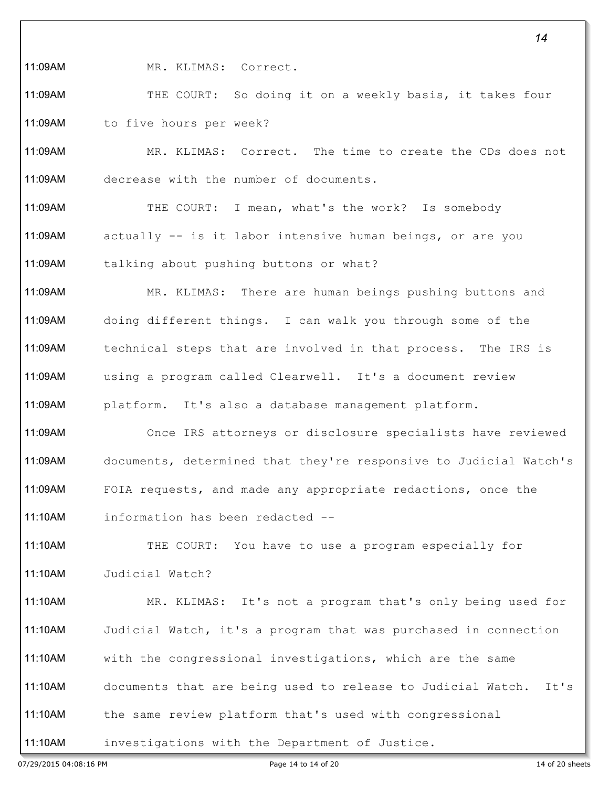11:09AM MR. KLIMAS: Correct.

11:09AM THE COURT: So doing it on a weekly basis, it takes four 11:09AM to five hours per week?

11:09AM MR. KLIMAS: Correct. The time to create the CDs does not 11:09AM decrease with the number of documents.

11:09AM THE COURT: I mean, what's the work? Is somebody 11:09AM actually -- is it labor intensive human beings, or are you 11:09AM talking about pushing buttons or what?

11:09AM MR. KLIMAS: There are human beings pushing buttons and 11:09AM doing different things. I can walk you through some of the 11:09AM technical steps that are involved in that process. The IRS is 11:09AM using a program called Clearwell. It's a document review 11:09AM platform. It's also a database management platform.

11:09AM Once IRS attorneys or disclosure specialists have reviewed 11:09AM documents, determined that they're responsive to Judicial Watch's 11:09AM FOIA requests, and made any appropriate redactions, once the 11:10AM information has been redacted --

11:10AM THE COURT: You have to use a program especially for 11:10AM Judicial Watch?

11:10AM MR. KLIMAS: It's not a program that's only being used for 11:10AM Judicial Watch, it's a program that was purchased in connection 11:10AM with the congressional investigations, which are the same 11:10AM documents that are being used to release to Judicial Watch. It's 11:10AM the same review platform that's used with congressional 11:10AM investigations with the Department of Justice.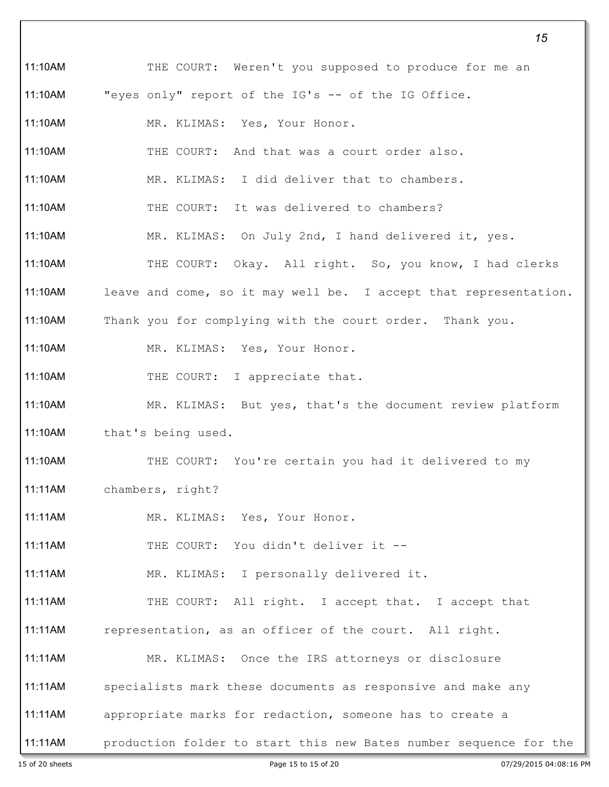*15* 11:10AM THE COURT: Weren't you supposed to produce for me an 11:10AM "eyes only" report of the IG's -- of the IG Office. 11:10AM MR. KLIMAS: Yes, Your Honor. 11:10AM THE COURT: And that was a court order also. 11:10AM MR. KLIMAS: I did deliver that to chambers. 11:10AM THE COURT: It was delivered to chambers? 11:10AM MR. KLIMAS: On July 2nd, I hand delivered it, yes. 11:10AM THE COURT: Okay. All right. So, you know, I had clerks 11:10AM leave and come, so it may well be. I accept that representation. 11:10AM Thank you for complying with the court order. Thank you. 11:10AM MR. KLIMAS: Yes, Your Honor. 11:10AM THE COURT: I appreciate that. 11:10AM MR. KLIMAS: But yes, that's the document review platform 11:10AM that's being used. 11:10AM THE COURT: You're certain you had it delivered to my 11:11AM chambers, right? 11:11AM MR. KLIMAS: Yes, Your Honor. 11:11AM THE COURT: You didn't deliver it -- 11:11AM MR. KLIMAS: I personally delivered it. 11:11AM THE COURT: All right. I accept that. I accept that 11:11AM representation, as an officer of the court. All right. 11:11AM MR. KLIMAS: Once the IRS attorneys or disclosure 11:11AM specialists mark these documents as responsive and make any 11:11AM appropriate marks for redaction, someone has to create a 11:11AM production folder to start this new Bates number sequence for the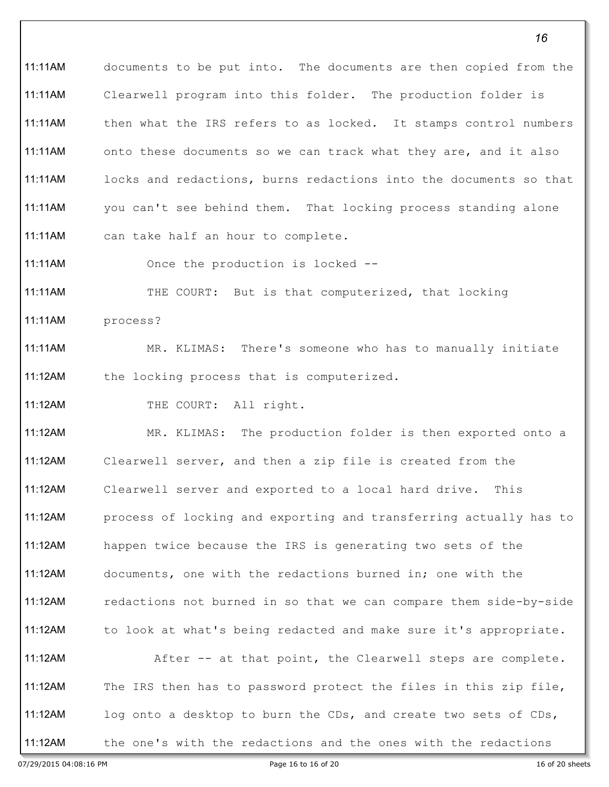11:11AM documents to be put into. The documents are then copied from the 11:11AM Clearwell program into this folder. The production folder is 11:11AM then what the IRS refers to as locked. It stamps control numbers 11:11AM onto these documents so we can track what they are, and it also 11:11AM locks and redactions, burns redactions into the documents so that 11:11AM you can't see behind them. That locking process standing alone 11:11AM can take half an hour to complete.

11:11AM Once the production is locked --

11:11AM THE COURT: But is that computerized, that locking 11:11AM process?

11:11AM MR. KLIMAS: There's someone who has to manually initiate 11:12AM the locking process that is computerized.

11:12AM THE COURT: All right.

11:12AM MR. KLIMAS: The production folder is then exported onto a 11:12AM Clearwell server, and then a zip file is created from the 11:12AM Clearwell server and exported to a local hard drive. This 11:12AM process of locking and exporting and transferring actually has to 11:12AM happen twice because the IRS is generating two sets of the 11:12AM documents, one with the redactions burned in; one with the 11:12AM redactions not burned in so that we can compare them side-by-side 11:12AM to look at what's being redacted and make sure it's appropriate. 11:12AM After -- at that point, the Clearwell steps are complete. 11:12AM The IRS then has to password protect the files in this zip file, 11:12AM log onto a desktop to burn the CDs, and create two sets of CDs, 11:12AM the one's with the redactions and the ones with the redactions

07/29/2015 04:08:16 PM **Page 16** to 16 of 20 sheets **Page 16** to 16 of 20 sheets **Page 16** to 16 of 20 sheets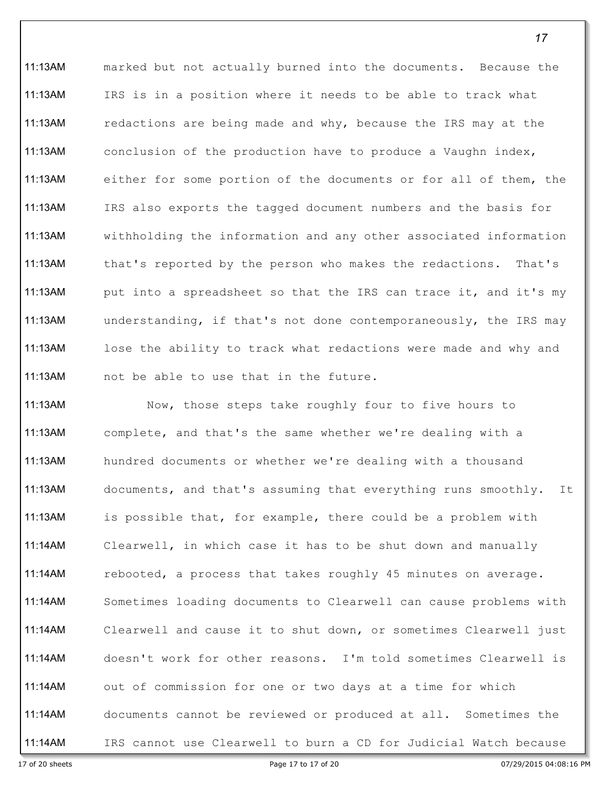11:13AM marked but not actually burned into the documents. Because the 11:13AM IRS is in a position where it needs to be able to track what 11:13AM redactions are being made and why, because the IRS may at the 11:13AM conclusion of the production have to produce a Vaughn index, 11:13AM either for some portion of the documents or for all of them, the 11:13AM IRS also exports the tagged document numbers and the basis for 11:13AM withholding the information and any other associated information 11:13AM that's reported by the person who makes the redactions. That's 11:13AM put into a spreadsheet so that the IRS can trace it, and it's my 11:13AM understanding, if that's not done contemporaneously, the IRS may 11:13AM lose the ability to track what redactions were made and why and 11:13AM not be able to use that in the future.

11:13AM Now, those steps take roughly four to five hours to 11:13AM complete, and that's the same whether we're dealing with a 11:13AM hundred documents or whether we're dealing with a thousand 11:13AM documents, and that's assuming that everything runs smoothly. It 11:13AM is possible that, for example, there could be a problem with 11:14AM Clearwell, in which case it has to be shut down and manually 11:14AM rebooted, a process that takes roughly 45 minutes on average. 11:14AM Sometimes loading documents to Clearwell can cause problems with 11:14AM Clearwell and cause it to shut down, or sometimes Clearwell just 11:14AM doesn't work for other reasons. I'm told sometimes Clearwell is 11:14AM out of commission for one or two days at a time for which 11:14AM documents cannot be reviewed or produced at all. Sometimes the 11:14AM IRS cannot use Clearwell to burn a CD for Judicial Watch because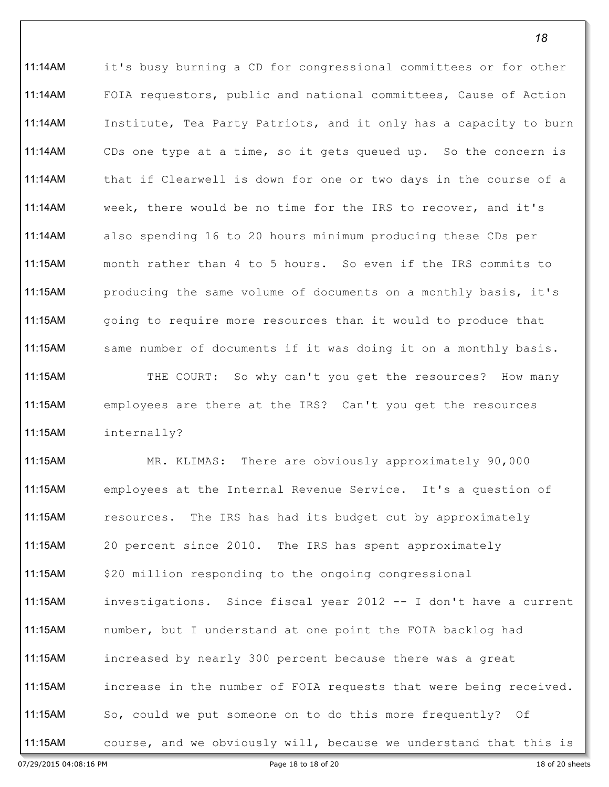11:14AM it's busy burning a CD for congressional committees or for other 11:14AM FOIA requestors, public and national committees, Cause of Action 11:14AM Institute, Tea Party Patriots, and it only has a capacity to burn 11:14AM CDs one type at a time, so it gets queued up. So the concern is 11:14AM that if Clearwell is down for one or two days in the course of a 11:14AM week, there would be no time for the IRS to recover, and it's 11:14AM also spending 16 to 20 hours minimum producing these CDs per 11:15AM month rather than 4 to 5 hours. So even if the IRS commits to 11:15AM producing the same volume of documents on a monthly basis, it's 11:15AM going to require more resources than it would to produce that 11:15AM same number of documents if it was doing it on a monthly basis. 11:15AM THE COURT: So why can't you get the resources? How many 11:15AM employees are there at the IRS? Can't you get the resources 11:15AM internally?

11:15AM MR. KLIMAS: There are obviously approximately 90,000 11:15AM employees at the Internal Revenue Service. It's a question of 11:15AM resources. The IRS has had its budget cut by approximately 11:15AM 20 percent since 2010. The IRS has spent approximately 11:15AM \$20 million responding to the ongoing congressional 11:15AM investigations. Since fiscal year 2012 -- I don't have a current 11:15AM number, but I understand at one point the FOIA backlog had 11:15AM increased by nearly 300 percent because there was a great 11:15AM increase in the number of FOIA requests that were being received. 11:15AM So, could we put someone on to do this more frequently? Of 11:15AM course, and we obviously will, because we understand that this is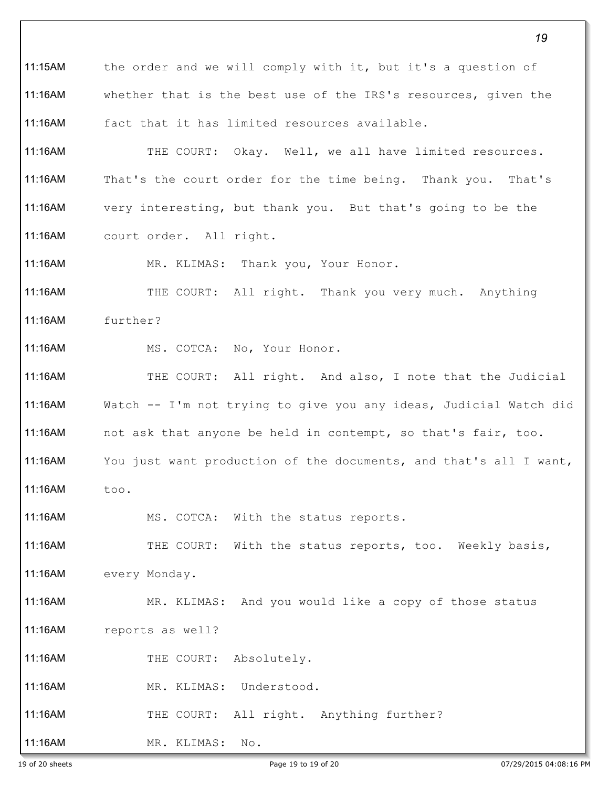*19* 11:15AM the order and we will comply with it, but it's a question of 11:16AM whether that is the best use of the IRS's resources, given the 11:16AM fact that it has limited resources available. 11:16AM THE COURT: Okay. Well, we all have limited resources. 11:16AM That's the court order for the time being. Thank you. That's 11:16AM very interesting, but thank you. But that's going to be the 11:16AM court order. All right. 11:16AM MR. KLIMAS: Thank you, Your Honor. 11:16AM THE COURT: All right. Thank you very much. Anything 11:16AM further? 11:16AM MS. COTCA: No, Your Honor. 11:16AM THE COURT: All right. And also, I note that the Judicial 11:16AM Watch -- I'm not trying to give you any ideas, Judicial Watch did 11:16AM not ask that anyone be held in contempt, so that's fair, too. 11:16AM You just want production of the documents, and that's all I want, 11:16AM too. 11:16AM MS. COTCA: With the status reports. 11:16AM THE COURT: With the status reports, too. Weekly basis, 11:16AM every Monday. 11:16AM MR. KLIMAS: And you would like a copy of those status 11:16AM reports as well? 11:16AM THE COURT: Absolutely. 11:16AM MR. KLIMAS: Understood. 11:16AM THE COURT: All right. Anything further? 11:16AM MR. KLIMAS: No.